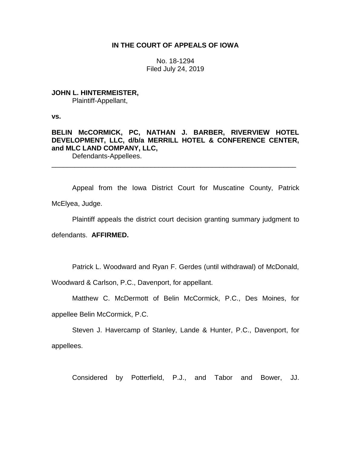# **IN THE COURT OF APPEALS OF IOWA**

No. 18-1294 Filed July 24, 2019

**JOHN L. HINTERMEISTER,** Plaintiff-Appellant,

**vs.**

**BELIN McCORMICK, PC, NATHAN J. BARBER, RIVERVIEW HOTEL DEVELOPMENT, LLC, d/b/a MERRILL HOTEL & CONFERENCE CENTER, and MLC LAND COMPANY, LLC,**

\_\_\_\_\_\_\_\_\_\_\_\_\_\_\_\_\_\_\_\_\_\_\_\_\_\_\_\_\_\_\_\_\_\_\_\_\_\_\_\_\_\_\_\_\_\_\_\_\_\_\_\_\_\_\_\_\_\_\_\_\_\_\_\_

Defendants-Appellees.

Appeal from the Iowa District Court for Muscatine County, Patrick McElyea, Judge.

Plaintiff appeals the district court decision granting summary judgment to

defendants. **AFFIRMED.**

Patrick L. Woodward and Ryan F. Gerdes (until withdrawal) of McDonald,

Woodward & Carlson, P.C., Davenport, for appellant.

Matthew C. McDermott of Belin McCormick, P.C., Des Moines, for

appellee Belin McCormick, P.C.

Steven J. Havercamp of Stanley, Lande & Hunter, P.C., Davenport, for appellees.

Considered by Potterfield, P.J., and Tabor and Bower, JJ.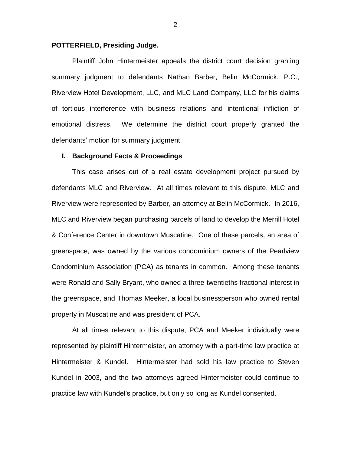# **POTTERFIELD, Presiding Judge.**

Plaintiff John Hintermeister appeals the district court decision granting summary judgment to defendants Nathan Barber, Belin McCormick, P.C., Riverview Hotel Development, LLC, and MLC Land Company, LLC for his claims of tortious interference with business relations and intentional infliction of emotional distress. We determine the district court properly granted the defendants' motion for summary judgment.

### **I. Background Facts & Proceedings**

This case arises out of a real estate development project pursued by defendants MLC and Riverview. At all times relevant to this dispute, MLC and Riverview were represented by Barber, an attorney at Belin McCormick. In 2016, MLC and Riverview began purchasing parcels of land to develop the Merrill Hotel & Conference Center in downtown Muscatine. One of these parcels, an area of greenspace, was owned by the various condominium owners of the Pearlview Condominium Association (PCA) as tenants in common. Among these tenants were Ronald and Sally Bryant, who owned a three-twentieths fractional interest in the greenspace, and Thomas Meeker, a local businessperson who owned rental property in Muscatine and was president of PCA.

At all times relevant to this dispute, PCA and Meeker individually were represented by plaintiff Hintermeister, an attorney with a part-time law practice at Hintermeister & Kundel. Hintermeister had sold his law practice to Steven Kundel in 2003, and the two attorneys agreed Hintermeister could continue to practice law with Kundel's practice, but only so long as Kundel consented.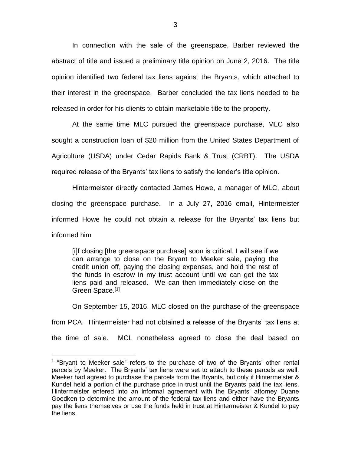In connection with the sale of the greenspace, Barber reviewed the abstract of title and issued a preliminary title opinion on June 2, 2016. The title opinion identified two federal tax liens against the Bryants, which attached to their interest in the greenspace. Barber concluded the tax liens needed to be released in order for his clients to obtain marketable title to the property.

At the same time MLC pursued the greenspace purchase, MLC also sought a construction loan of \$20 million from the United States Department of Agriculture (USDA) under Cedar Rapids Bank & Trust (CRBT). The USDA required release of the Bryants' tax liens to satisfy the lender's title opinion.

Hintermeister directly contacted James Howe, a manager of MLC, about closing the greenspace purchase. In a July 27, 2016 email, Hintermeister informed Howe he could not obtain a release for the Bryants' tax liens but informed him

[i]f closing [the greenspace purchase] soon is critical, I will see if we can arrange to close on the Bryant to Meeker sale, paying the credit union off, paying the closing expenses, and hold the rest of the funds in escrow in my trust account until we can get the tax liens paid and released. We can then immediately close on the Green Space.<sup>[1]</sup>

On September 15, 2016, MLC closed on the purchase of the greenspace from PCA. Hintermeister had not obtained a release of the Bryants' tax liens at the time of sale. MCL nonetheless agreed to close the deal based on

 $\overline{a}$ 

<sup>&</sup>lt;sup>1</sup> "Bryant to Meeker sale" refers to the purchase of two of the Bryants' other rental parcels by Meeker. The Bryants' tax liens were set to attach to these parcels as well. Meeker had agreed to purchase the parcels from the Bryants, but only if Hintermeister & Kundel held a portion of the purchase price in trust until the Bryants paid the tax liens. Hintermeister entered into an informal agreement with the Bryants' attorney Duane Goedken to determine the amount of the federal tax liens and either have the Bryants pay the liens themselves or use the funds held in trust at Hintermeister & Kundel to pay the liens.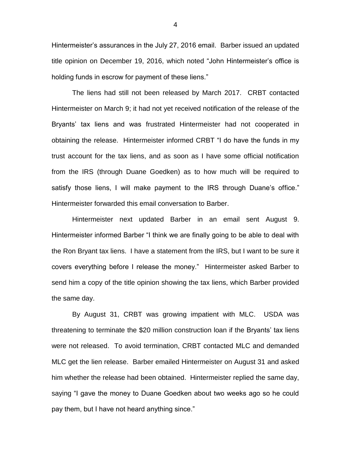Hintermeister's assurances in the July 27, 2016 email. Barber issued an updated title opinion on December 19, 2016, which noted "John Hintermeister's office is holding funds in escrow for payment of these liens."

The liens had still not been released by March 2017. CRBT contacted Hintermeister on March 9; it had not yet received notification of the release of the Bryants' tax liens and was frustrated Hintermeister had not cooperated in obtaining the release. Hintermeister informed CRBT "I do have the funds in my trust account for the tax liens, and as soon as I have some official notification from the IRS (through Duane Goedken) as to how much will be required to satisfy those liens, I will make payment to the IRS through Duane's office." Hintermeister forwarded this email conversation to Barber.

Hintermeister next updated Barber in an email sent August 9. Hintermeister informed Barber "I think we are finally going to be able to deal with the Ron Bryant tax liens. I have a statement from the IRS, but I want to be sure it covers everything before I release the money." Hintermeister asked Barber to send him a copy of the title opinion showing the tax liens, which Barber provided the same day.

By August 31, CRBT was growing impatient with MLC. USDA was threatening to terminate the \$20 million construction loan if the Bryants' tax liens were not released. To avoid termination, CRBT contacted MLC and demanded MLC get the lien release. Barber emailed Hintermeister on August 31 and asked him whether the release had been obtained. Hintermeister replied the same day, saying "I gave the money to Duane Goedken about two weeks ago so he could pay them, but I have not heard anything since."

4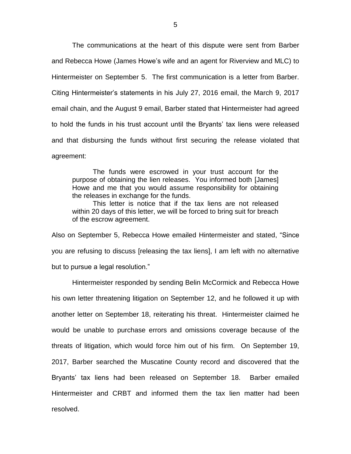The communications at the heart of this dispute were sent from Barber and Rebecca Howe (James Howe's wife and an agent for Riverview and MLC) to Hintermeister on September 5. The first communication is a letter from Barber. Citing Hintermeister's statements in his July 27, 2016 email, the March 9, 2017 email chain, and the August 9 email, Barber stated that Hintermeister had agreed to hold the funds in his trust account until the Bryants' tax liens were released and that disbursing the funds without first securing the release violated that agreement:

The funds were escrowed in your trust account for the purpose of obtaining the lien releases. You informed both [James] Howe and me that you would assume responsibility for obtaining the releases in exchange for the funds.

This letter is notice that if the tax liens are not released within 20 days of this letter, we will be forced to bring suit for breach of the escrow agreement.

Also on September 5, Rebecca Howe emailed Hintermeister and stated, "Since you are refusing to discuss [releasing the tax liens], I am left with no alternative but to pursue a legal resolution."

Hintermeister responded by sending Belin McCormick and Rebecca Howe his own letter threatening litigation on September 12, and he followed it up with another letter on September 18, reiterating his threat. Hintermeister claimed he would be unable to purchase errors and omissions coverage because of the threats of litigation, which would force him out of his firm. On September 19, 2017, Barber searched the Muscatine County record and discovered that the Bryants' tax liens had been released on September 18. Barber emailed Hintermeister and CRBT and informed them the tax lien matter had been resolved.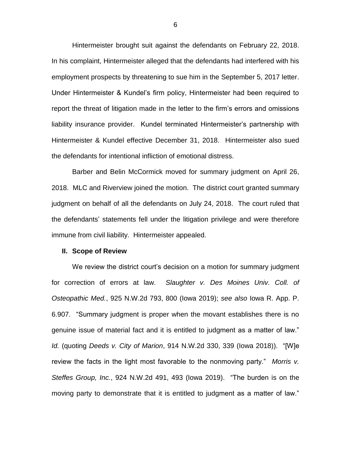Hintermeister brought suit against the defendants on February 22, 2018. In his complaint, Hintermeister alleged that the defendants had interfered with his employment prospects by threatening to sue him in the September 5, 2017 letter. Under Hintermeister & Kundel's firm policy, Hintermeister had been required to report the threat of litigation made in the letter to the firm's errors and omissions liability insurance provider. Kundel terminated Hintermeister's partnership with Hintermeister & Kundel effective December 31, 2018. Hintermeister also sued the defendants for intentional infliction of emotional distress.

Barber and Belin McCormick moved for summary judgment on April 26, 2018. MLC and Riverview joined the motion. The district court granted summary judgment on behalf of all the defendants on July 24, 2018. The court ruled that the defendants' statements fell under the litigation privilege and were therefore immune from civil liability. Hintermeister appealed.

#### **II. Scope of Review**

We review the district court's decision on a motion for summary judgment for correction of errors at law. *Slaughter v. Des Moines Univ. Coll. of Osteopathic Med.*, 925 N.W.2d 793, 800 (Iowa 2019); *see also* Iowa R. App. P. 6.907. "Summary judgment is proper when the movant establishes there is no genuine issue of material fact and it is entitled to judgment as a matter of law." *Id.* (quoting *Deeds v. City of Marion*, 914 N.W.2d 330, 339 (Iowa 2018)). "[W]e review the facts in the light most favorable to the nonmoving party." *Morris v. Steffes Group, Inc.*, 924 N.W.2d 491, 493 (Iowa 2019). "The burden is on the moving party to demonstrate that it is entitled to judgment as a matter of law."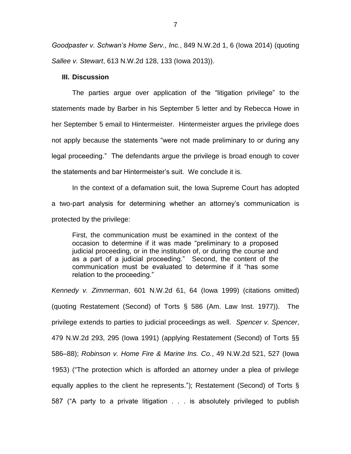*Goodpaster v. Schwan's Home Serv., Inc.*, 849 N.W.2d 1, 6 (Iowa 2014) (quoting *Sallee v. Stewart*, 613 N.W.2d 128, 133 (Iowa 2013)).

### **III. Discussion**

The parties argue over application of the "litigation privilege" to the statements made by Barber in his September 5 letter and by Rebecca Howe in her September 5 email to Hintermeister. Hintermeister argues the privilege does not apply because the statements "were not made preliminary to or during any legal proceeding." The defendants argue the privilege is broad enough to cover the statements and bar Hintermeister's suit. We conclude it is.

In the context of a defamation suit, the Iowa Supreme Court has adopted a two-part analysis for determining whether an attorney's communication is protected by the privilege:

First, the communication must be examined in the context of the occasion to determine if it was made "preliminary to a proposed judicial proceeding, or in the institution of, or during the course and as a part of a judicial proceeding." Second, the content of the communication must be evaluated to determine if it "has some relation to the proceeding."

*Kennedy v. Zimmerman*, 601 N.W.2d 61, 64 (Iowa 1999) (citations omitted) (quoting Restatement (Second) of Torts § 586 (Am. Law Inst. 1977)). The privilege extends to parties to judicial proceedings as well. *Spencer v. Spencer*, 479 N.W.2d 293, 295 (Iowa 1991) (applying Restatement (Second) of Torts §§ 586–88); *Robinson v. Home Fire & Marine Ins. Co.*, 49 N.W.2d 521, 527 (Iowa 1953) ("The protection which is afforded an attorney under a plea of privilege equally applies to the client he represents."); Restatement (Second) of Torts § 587 ("A party to a private litigation . . . is absolutely privileged to publish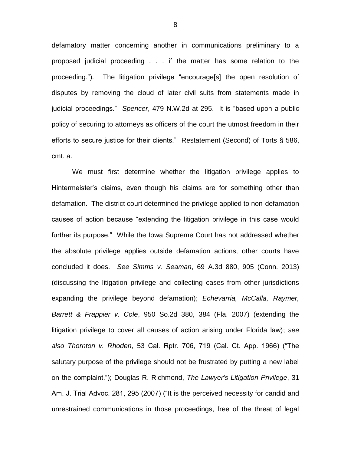defamatory matter concerning another in communications preliminary to a proposed judicial proceeding . . . if the matter has some relation to the proceeding."). The litigation privilege "encourage[s] the open resolution of disputes by removing the cloud of later civil suits from statements made in judicial proceedings." *Spencer*, 479 N.W.2d at 295. It is "based upon a public policy of securing to attorneys as officers of the court the utmost freedom in their efforts to secure justice for their clients." Restatement (Second) of Torts § 586, cmt. a.

We must first determine whether the litigation privilege applies to Hintermeister's claims, even though his claims are for something other than defamation. The district court determined the privilege applied to non-defamation causes of action because "extending the litigation privilege in this case would further its purpose." While the Iowa Supreme Court has not addressed whether the absolute privilege applies outside defamation actions, other courts have concluded it does. *See Simms v. Seaman*, 69 A.3d 880, 905 (Conn. 2013) (discussing the litigation privilege and collecting cases from other jurisdictions expanding the privilege beyond defamation); *Echevarria, McCalla, Raymer, Barrett & Frappier v. Cole*, 950 So.2d 380, 384 (Fla. 2007) (extending the litigation privilege to cover all causes of action arising under Florida law); *see also Thornton v. Rhoden*, 53 Cal. Rptr. 706, 719 (Cal. Ct. App. 1966) ("The salutary purpose of the privilege should not be frustrated by putting a new label on the complaint."); Douglas R. Richmond, *The Lawyer's Litigation Privilege*, 31 Am. J. Trial Advoc. 281, 295 (2007) ("It is the perceived necessity for candid and unrestrained communications in those proceedings, free of the threat of legal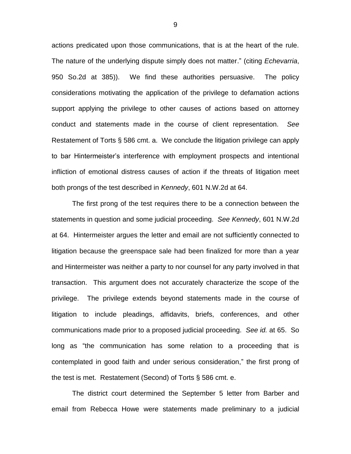actions predicated upon those communications, that is at the heart of the rule. The nature of the underlying dispute simply does not matter." (citing *Echevarria*, 950 So.2d at 385)). We find these authorities persuasive. The policy considerations motivating the application of the privilege to defamation actions support applying the privilege to other causes of actions based on attorney conduct and statements made in the course of client representation. *See*  Restatement of Torts § 586 cmt. a. We conclude the litigation privilege can apply to bar Hintermeister's interference with employment prospects and intentional infliction of emotional distress causes of action if the threats of litigation meet both prongs of the test described in *Kennedy*, 601 N.W.2d at 64.

The first prong of the test requires there to be a connection between the statements in question and some judicial proceeding. *See Kennedy*, 601 N.W.2d at 64. Hintermeister argues the letter and email are not sufficiently connected to litigation because the greenspace sale had been finalized for more than a year and Hintermeister was neither a party to nor counsel for any party involved in that transaction. This argument does not accurately characterize the scope of the privilege. The privilege extends beyond statements made in the course of litigation to include pleadings, affidavits, briefs, conferences, and other communications made prior to a proposed judicial proceeding. *See id.* at 65. So long as "the communication has some relation to a proceeding that is contemplated in good faith and under serious consideration," the first prong of the test is met. Restatement (Second) of Torts § 586 cmt. e.

The district court determined the September 5 letter from Barber and email from Rebecca Howe were statements made preliminary to a judicial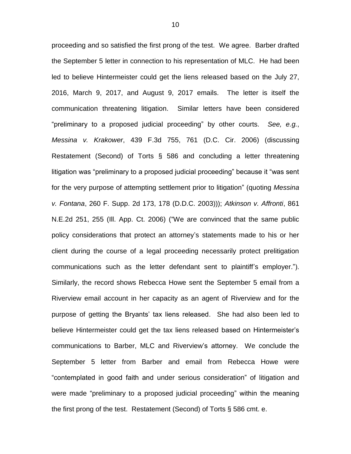proceeding and so satisfied the first prong of the test. We agree. Barber drafted the September 5 letter in connection to his representation of MLC. He had been led to believe Hintermeister could get the liens released based on the July 27, 2016, March 9, 2017, and August 9, 2017 emails. The letter is itself the communication threatening litigation. Similar letters have been considered "preliminary to a proposed judicial proceeding" by other courts. *See, e.g.*, *Messina v. Krakower*, 439 F.3d 755, 761 (D.C. Cir. 2006) (discussing Restatement (Second) of Torts § 586 and concluding a letter threatening litigation was "preliminary to a proposed judicial proceeding" because it "was sent for the very purpose of attempting settlement prior to litigation" (quoting *Messina v. Fontana*, 260 F. Supp. 2d 173, 178 (D.D.C. 2003))); *Atkinson v. Affronti*, 861 N.E.2d 251, 255 (Ill. App. Ct. 2006) ("We are convinced that the same public policy considerations that protect an attorney's statements made to his or her client during the course of a legal proceeding necessarily protect prelitigation communications such as the letter defendant sent to plaintiff's employer."). Similarly, the record shows Rebecca Howe sent the September 5 email from a Riverview email account in her capacity as an agent of Riverview and for the purpose of getting the Bryants' tax liens released. She had also been led to believe Hintermeister could get the tax liens released based on Hintermeister's communications to Barber, MLC and Riverview's attorney. We conclude the September 5 letter from Barber and email from Rebecca Howe were "contemplated in good faith and under serious consideration" of litigation and were made "preliminary to a proposed judicial proceeding" within the meaning the first prong of the test. Restatement (Second) of Torts § 586 cmt. e.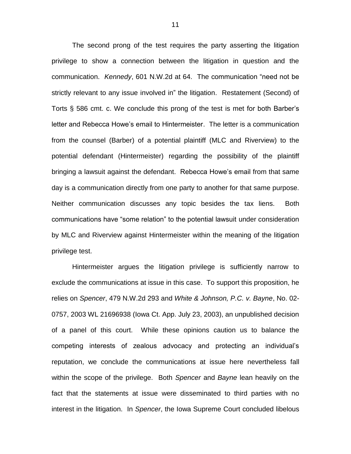The second prong of the test requires the party asserting the litigation privilege to show a connection between the litigation in question and the communication. *Kennedy*, 601 N.W.2d at 64. The communication "need not be strictly relevant to any issue involved in" the litigation. Restatement (Second) of Torts § 586 cmt. c. We conclude this prong of the test is met for both Barber's letter and Rebecca Howe's email to Hintermeister. The letter is a communication from the counsel (Barber) of a potential plaintiff (MLC and Riverview) to the potential defendant (Hintermeister) regarding the possibility of the plaintiff bringing a lawsuit against the defendant. Rebecca Howe's email from that same day is a communication directly from one party to another for that same purpose. Neither communication discusses any topic besides the tax liens. Both communications have "some relation" to the potential lawsuit under consideration by MLC and Riverview against Hintermeister within the meaning of the litigation privilege test.

Hintermeister argues the litigation privilege is sufficiently narrow to exclude the communications at issue in this case. To support this proposition, he relies on *Spencer*, 479 N.W.2d 293 and *White & Johnson, P.C. v. Bayne*, No. 02- 0757, 2003 WL 21696938 (Iowa Ct. App. July 23, 2003), an unpublished decision of a panel of this court. While these opinions caution us to balance the competing interests of zealous advocacy and protecting an individual's reputation, we conclude the communications at issue here nevertheless fall within the scope of the privilege. Both *Spencer* and *Bayne* lean heavily on the fact that the statements at issue were disseminated to third parties with no interest in the litigation. In *Spencer*, the Iowa Supreme Court concluded libelous